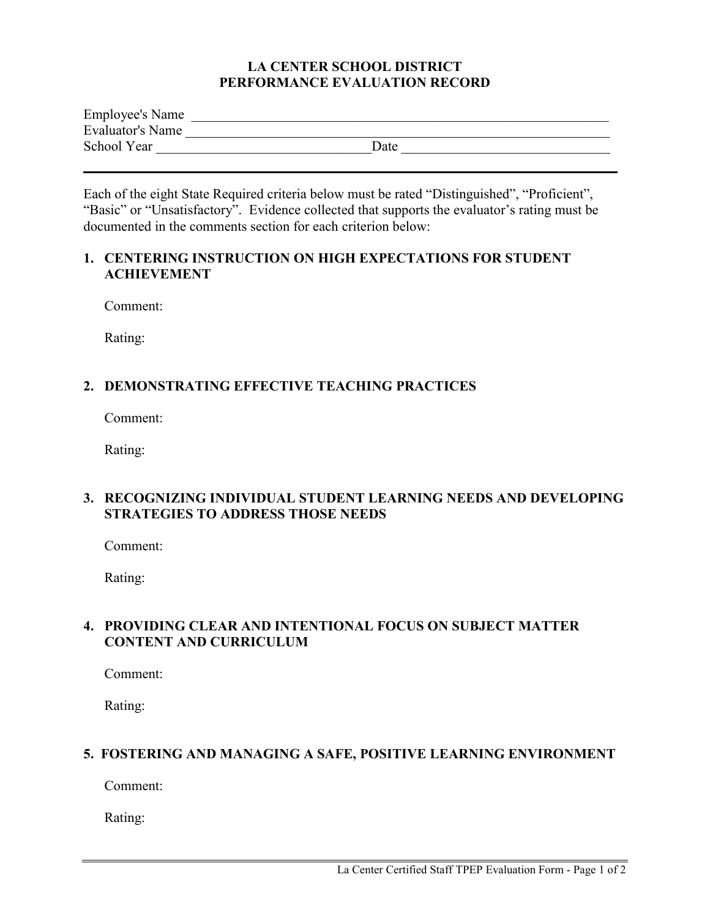#### **LA CENTER SCHOOL DISTRICT PERFORMANCE EVALUATION RECORD**

| <b>Employee's Name</b> |      |
|------------------------|------|
| Evaluator's Name       |      |
| School Year            | Date |

Each of the eight State Required criteria below must be rated "Distinguished", "Proficient", "Basic" or "Unsatisfactory". Evidence collected that supports the evaluator's rating must be documented in the comments section for each criterion below:

#### **1. CENTERING INSTRUCTION ON HIGH EXPECTATIONS FOR STUDENT ACHIEVEMENT**

Comment:

Rating:

# **2. DEMONSTRATING EFFECTIVE TEACHING PRACTICES**

Comment:

Rating:

## **3. RECOGNIZING INDIVIDUAL STUDENT LEARNING NEEDS AND DEVELOPING STRATEGIES TO ADDRESS THOSE NEEDS**

Comment:

Rating:

## **4. PROVIDING CLEAR AND INTENTIONAL FOCUS ON SUBJECT MATTER CONTENT AND CURRICULUM**

Comment:

Rating:

# **5. FOSTERING AND MANAGING A SAFE, POSITIVE LEARNING ENVIRONMENT**

Comment:

Rating: